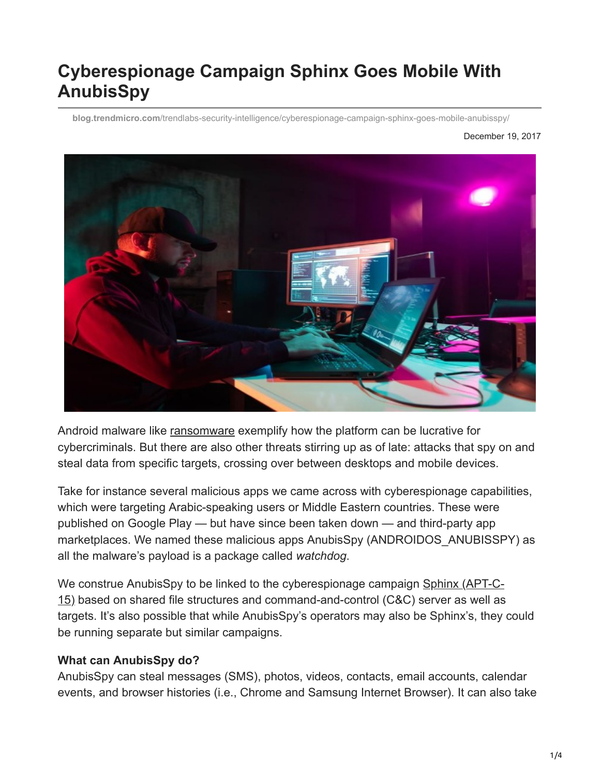# **Cyberespionage Campaign Sphinx Goes Mobile With AnubisSpy**

**blog.trendmicro.com**[/trendlabs-security-intelligence/cyberespionage-campaign-sphinx-goes-mobile-anubisspy/](http://blog.trendmicro.com/trendlabs-security-intelligence/cyberespionage-campaign-sphinx-goes-mobile-anubisspy/)

December 19, 2017



Android malware like [ransomware](http://blog.trendmicro.com/trendlabs-security-intelligence/android-mobile-ransomware-evolution/) exemplify how the platform can be lucrative for cybercriminals. But there are also other threats stirring up as of late: attacks that spy on and steal data from specific targets, crossing over between desktops and mobile devices.

Take for instance several malicious apps we came across with cyberespionage capabilities, which were targeting Arabic-speaking users or Middle Eastern countries. These were published on Google Play — but have since been taken down — and third-party app marketplaces. We named these malicious apps AnubisSpy (ANDROIDOS\_ANUBISSPY) as all the malware's payload is a package called *watchdog*.

[We construe AnubisSpy to be linked to the cyberespionage campaign Sphinx \(APT-C-](https://blogs.360.cn/post/sphinx.html)15) based on shared file structures and command-and-control (C&C) server as well as targets. It's also possible that while AnubisSpy's operators may also be Sphinx's, they could be running separate but similar campaigns.

#### **What can AnubisSpy do?**

AnubisSpy can steal messages (SMS), photos, videos, contacts, email accounts, calendar events, and browser histories (i.e., Chrome and Samsung Internet Browser). It can also take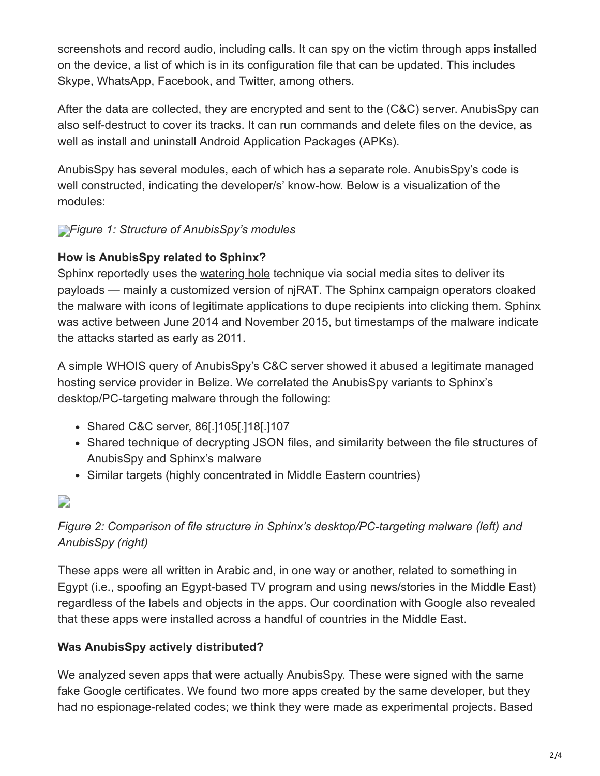screenshots and record audio, including calls. It can spy on the victim through apps installed on the device, a list of which is in its configuration file that can be updated. This includes Skype, WhatsApp, Facebook, and Twitter, among others.

After the data are collected, they are encrypted and sent to the (C&C) server. AnubisSpy can also self-destruct to cover its tracks. It can run commands and delete files on the device, as well as install and uninstall Android Application Packages (APKs).

AnubisSpy has several modules, each of which has a separate role. AnubisSpy's code is well constructed, indicating the developer/s' know-how. Below is a visualization of the modules:

# *[F](http://blog.trendmicro.com/content/dam/trendmicro/global/en/migrated/security-intelligence-migration-spreadsheet/trendlabs-security-intelligence/2017/12/anubisspy-1.jpg)igure 1: Structure of AnubisSpy's modules*

## **How is AnubisSpy related to Sphinx?**

Sphinx reportedly uses the [watering hole](https://www.trendmicro.com/vinfo/tmr/?/us/threat-encyclopedia/web-attack/137/watering-hole-101) technique via social media sites to deliver its payloads — mainly a customized version of  $\frac{n}{RAT}$ . The Sphinx campaign operators cloaked the malware with icons of legitimate applications to dupe recipients into clicking them. Sphinx was active between June 2014 and November 2015, but timestamps of the malware indicate the attacks started as early as 2011.

A simple WHOIS query of AnubisSpy's C&C server showed it abused a legitimate managed hosting service provider in Belize. We correlated the AnubisSpy variants to Sphinx's desktop/PC-targeting malware through the following:

- Shared C&C server, 86[.]105[.]18[.]107
- Shared technique of decrypting JSON files, and similarity between the file structures of AnubisSpy and Sphinx's malware
- Similar targets (highly concentrated in Middle Eastern countries)

# D

# *Figure 2: Comparison of file structure in Sphinx's desktop/PC-targeting malware (left) and AnubisSpy (right)*

These apps were all written in Arabic and, in one way or another, related to something in Egypt (i.e., spoofing an Egypt-based TV program and using news/stories in the Middle East) regardless of the labels and objects in the apps. Our coordination with Google also revealed that these apps were installed across a handful of countries in the Middle East.

## **Was AnubisSpy actively distributed?**

We analyzed seven apps that were actually AnubisSpy. These were signed with the same fake Google certificates. We found two more apps created by the same developer, but they had no espionage-related codes; we think they were made as experimental projects. Based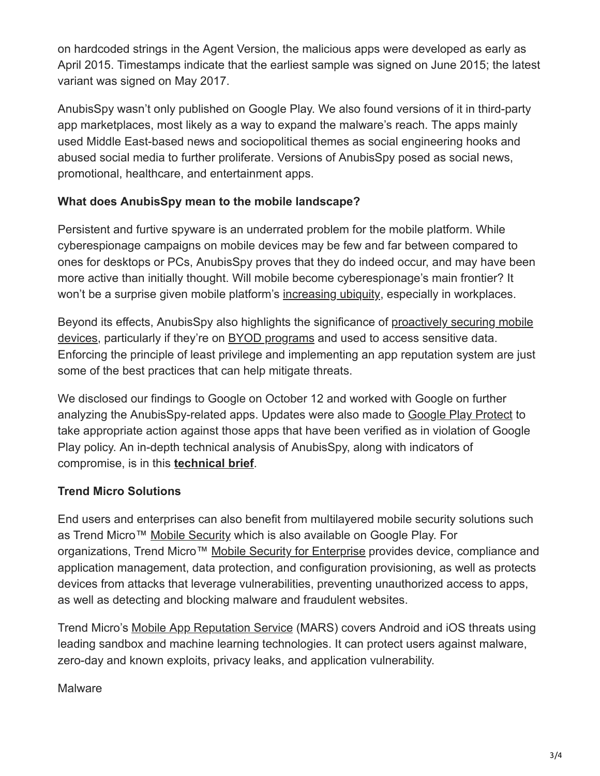on hardcoded strings in the Agent Version, the malicious apps were developed as early as April 2015. Timestamps indicate that the earliest sample was signed on June 2015; the latest variant was signed on May 2017.

AnubisSpy wasn't only published on Google Play. We also found versions of it in third-party app marketplaces, most likely as a way to expand the malware's reach. The apps mainly used Middle East-based news and sociopolitical themes as social engineering hooks and abused social media to further proliferate. Versions of AnubisSpy posed as social news, promotional, healthcare, and entertainment apps.

## **What does AnubisSpy mean to the mobile landscape?**

Persistent and furtive spyware is an underrated problem for the mobile platform. While cyberespionage campaigns on mobile devices may be few and far between compared to ones for desktops or PCs, AnubisSpy proves that they do indeed occur, and may have been more active than initially thought. Will mobile become cyberespionage's main frontier? It won't be a surprise given mobile platform's [increasing ubiquity](https://www.gartner.com/newsroom/id/3725117), especially in workplaces.

[Beyond its effects, AnubisSpy also highlights the significance of proactively securing mobile](https://www.trendmicro.com/vinfo/tmr/?/us/security/news/mobile-safety/best-practices-securing-your-mobile-device) devices, particularly if they're on **BYOD** programs and used to access sensitive data. Enforcing the principle of least privilege and implementing an app reputation system are just some of the best practices that can help mitigate threats.

We disclosed our findings to Google on October 12 and worked with Google on further analyzing the AnubisSpy-related apps. Updates were also made to [Google Play Protect](https://www.android.com/play-protect/) to take appropriate action against those apps that have been verified as in violation of Google Play policy. An in-depth technical analysis of AnubisSpy, along with indicators of compromise, is in this **[technical brief](https://documents.trendmicro.com/assets/tech-brief-cyberespionage-campaign-sphinx-goes-mobile-with-anubisspy.pdf)**.

# **Trend Micro Solutions**

End users and enterprises can also benefit from multilayered mobile security solutions such as Trend Micro™ [Mobile Security](http://blog.trendmicro.com/en_us/forHome/products/mobile-security.html) which is also available on Google Play. For organizations, Trend Micro™ [Mobile Security for Enterprise](http://blog.trendmicro.com/en_us/business/products/user-protection/sps/mobile.html) provides device, compliance and application management, data protection, and configuration provisioning, as well as protects devices from attacks that leverage vulnerabilities, preventing unauthorized access to apps, as well as detecting and blocking malware and fraudulent websites.

Trend Micro's [Mobile App Reputation Service](https://mars.trendmicro.com/) (MARS) covers Android and iOS threats using leading sandbox and machine learning technologies. It can protect users against malware, zero-day and known exploits, privacy leaks, and application vulnerability.

## **Malware**